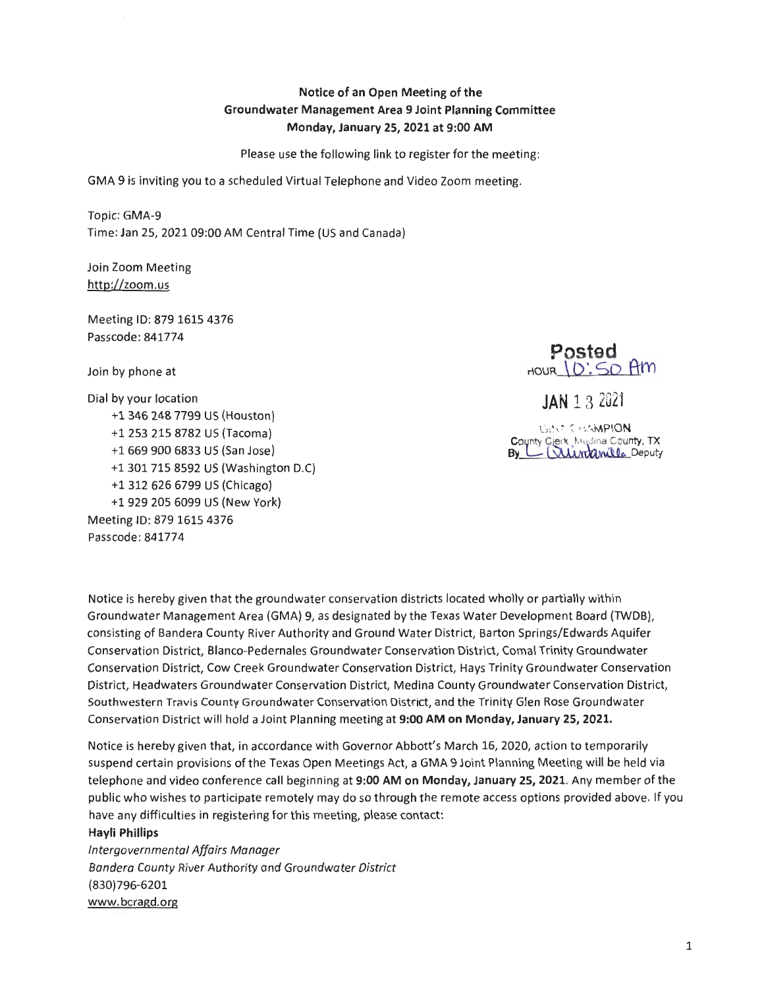## **Notice of an Open Meeting of the Groundwater Management Area 9 Joint Planning Committee Monday, January 25, 2021 at 9:00 AM**

Please use the following link to register for the meeting:

GMA 9 is inviting you to a scheduled Virtual Telephone and Video Zoom meeting.

Topic: GMA-9 Time: Jan 25, 2021 09:00 AM Central Time (US and Canada)

Join Zoom Meeting http://zoom.us

Meeting ID: 879 1615 4376 Passcode : 841774

Join by phone at

Dial by your location +l 346 248 7799 US (Houston) +l 253 215 8782 US (Tacoma) +1 669 900 6833 US (San Jose) +l 301 715 8592 US (Washington D.C) +1 312 626 6799 US (Chicago) +l 929 205 6099 US (New York) Meeting ID: 879 1615 4376 Passcode : 841774

**Posted**   $H_{\text{HOUR}}(O:SO~H_{\text{HM}})$ 

**JAN** 13 2021

Gi!\:<sup>t,</sup> CirtAMPION **County Clerk**, Medina County, TX  $By L$  Wintenilla Deputy

Notice is hereby given that the groundwater conservation districts located wholly or partially within Groundwater Management Area (GMA) 9, as designated by the Texas Water Development Board (TWDB), consisting of Bandera County River Authority and Ground Water District, Barton Springs/Edwards Aquifer Conservation District, Blanco-Pedernales Groundwater Conservation District, Comal Trinity Groundwater Conservation District, Cow Creek Groundwater Conservation District, Hays Trinity Groundwater Conservation District, Headwaters Groundwater Conservation District, Medina County Groundwater Conservation District, Southwestern Travis County Groundwater Conservation District, and the Trinity Glen Rose Groundwater Conservation District will hold a Joint Planning meeting at **9:00 AM on Monday, January 25, 2021.** 

Notice is hereby given that, in accordance with Governor Abbott's March 16, 2020, action to temporarily suspend certain provisions ofthe Texas Open Meetings Act, a GMA 9 Joint Planning Meeting will be held via telephone and video conference call beginning at **9:00 AM on Monday, January 25, 2021.** Any member of the public who wishes to participate remotely may do so through the remote access options provided above. If you have any difficulties in registering for this meeting, please contact:

## **Hayli Phillips**

*Intergovernmental Affairs Manager Bandera County River Authority and Groundwater District*  {830)796-6201 www.bcragd.org